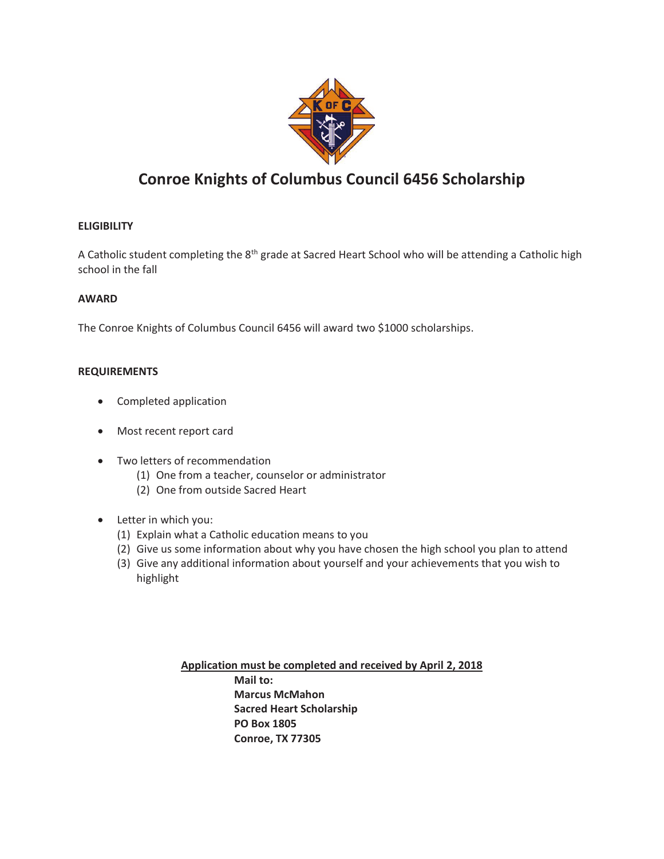

## **Conroe Knights of Columbus Council 6456 Scholarship**

### **ELIGIBILITY**

A Catholic student completing the 8th grade at Sacred Heart School who will be attending a Catholic high school in the fall

#### **AWARD**

The Conroe Knights of Columbus Council 6456 will award two \$1000 scholarships.

#### **REQUIREMENTS**

- · Completed application
- · Most recent report card
- · Two letters of recommendation
	- (1) One from a teacher, counselor or administrator
	- (2) One from outside Sacred Heart
- · Letter in which you:
	- (1) Explain what a Catholic education means to you
	- (2) Give us some information about why you have chosen the high school you plan to attend
	- (3) Give any additional information about yourself and your achievements that you wish to highlight

**Application must be completed and received by April 2, 2018 Mail to: Marcus McMahon Sacred Heart Scholarship PO Box 1805 Conroe, TX 77305**